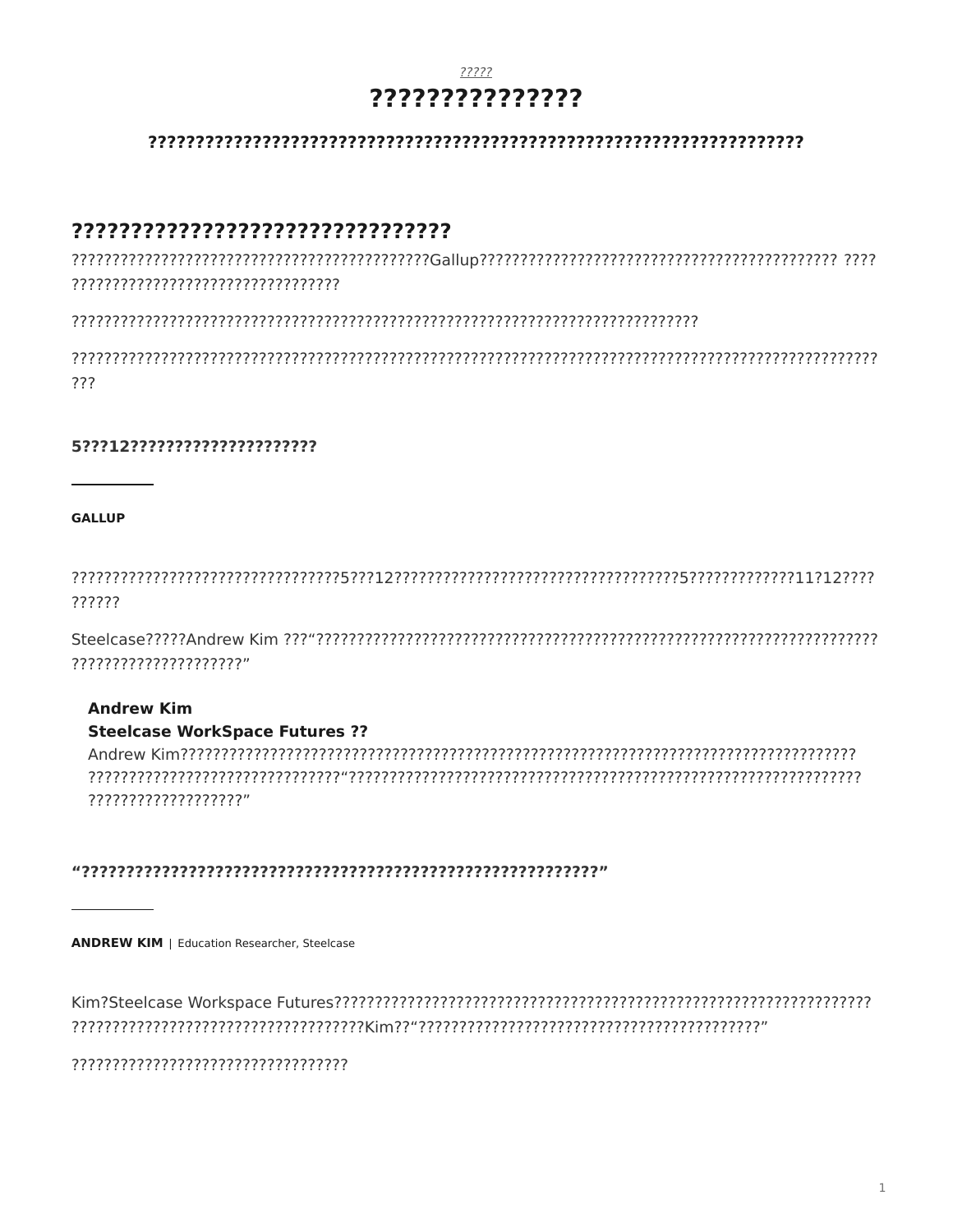### ????? ???????????????

#### 

### 

???

#### 5???12?????????????????????

**GALLUP** 

??????

?????????????????????

#### **Andrew Kim**

#### **Steelcase WorkSpace Futures ??**

7777777777777777777"

#### 

**ANDREW KIM** | Education Researcher, Steelcase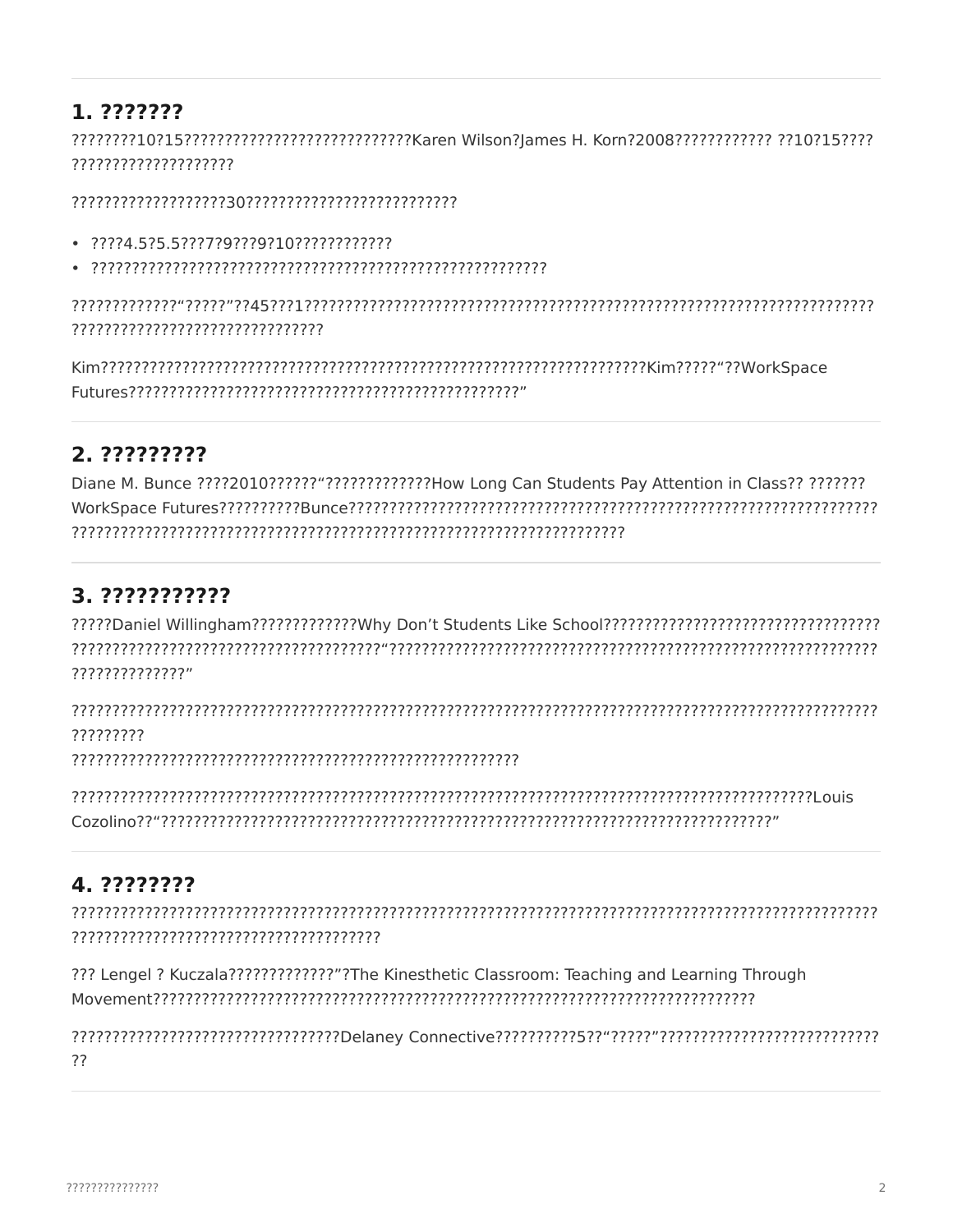# 1. ???????

????????????????????

- 
- 

???????????????????????????????

# 2. ?????????

Diane M. Bunce ????2010????????????????????How Long Can Students Pay Attention in Class?? ??????? 

# 3. ???????????

77777777777777"

?????????

# 4. ????????

??? Lengel ? Kuczala???????????????"?The Kinesthetic Classroom: Teaching and Learning Through 

??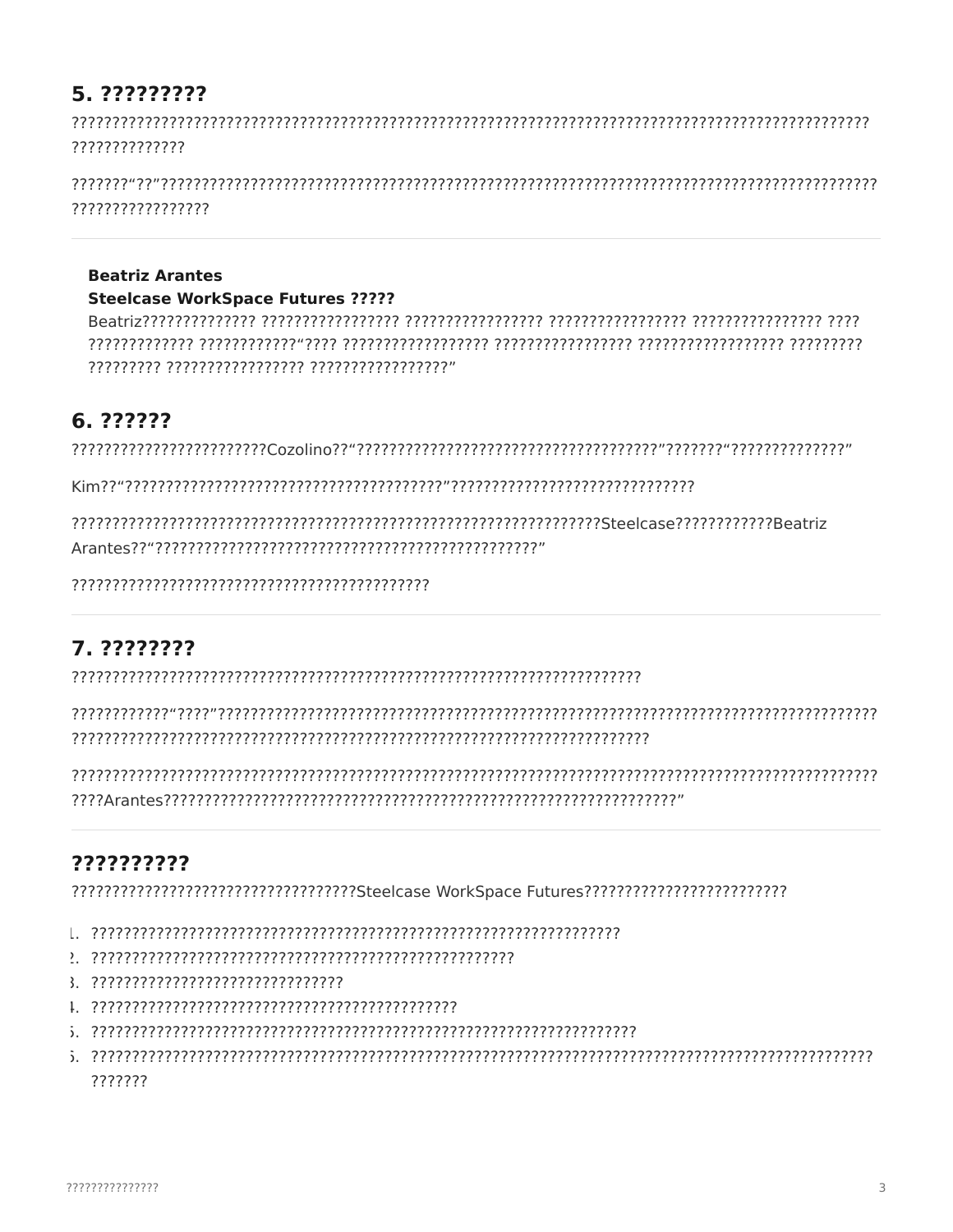# 5. ?????????

??????????????

?????????????????

#### **Beatriz Arantes**

#### **Steelcase WorkSpace Futures ?????**

# 6. ??????

# 7. ????????

# ??????????

- 
- 
- 
- 
- ???????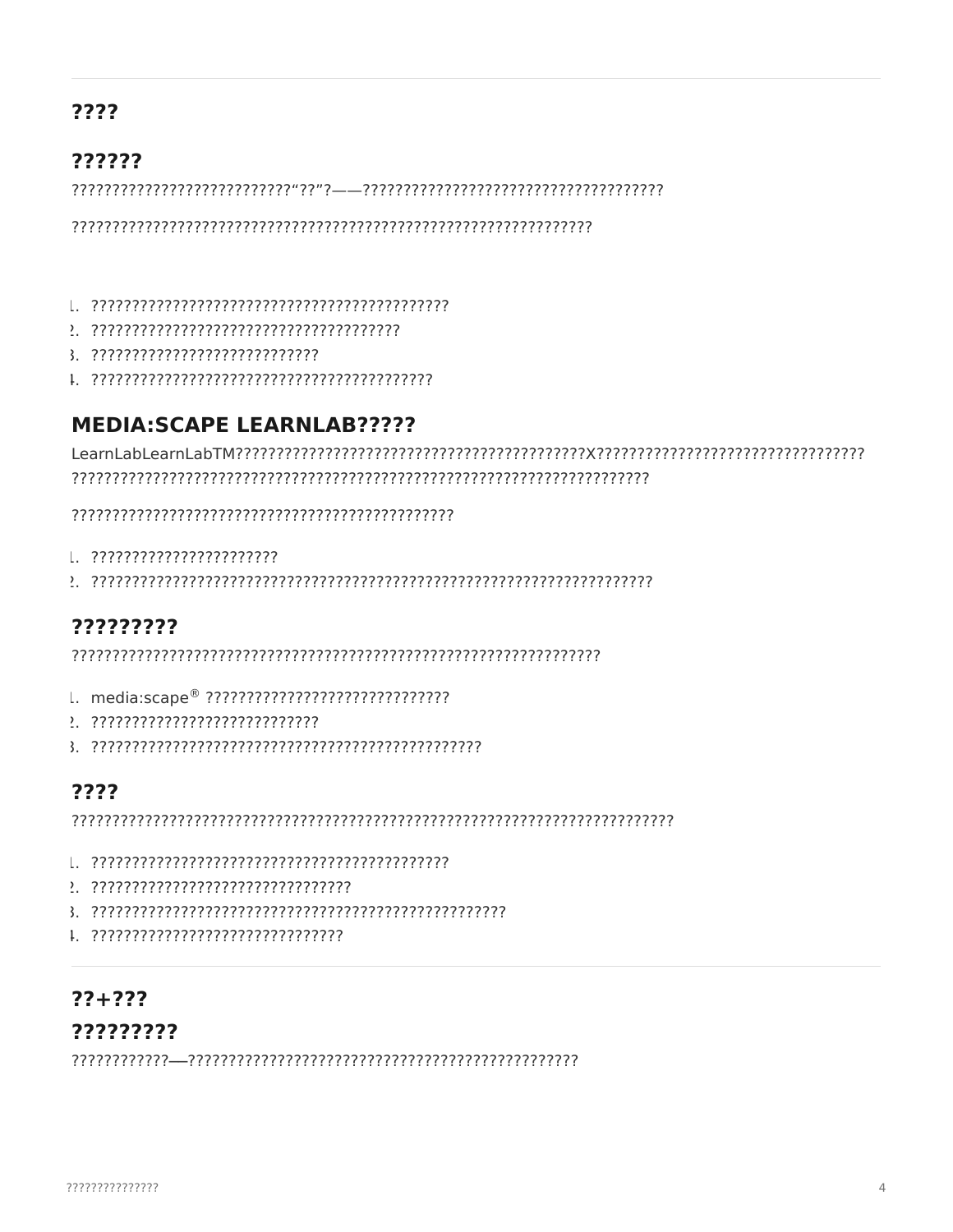## ????

### ??????

#### 

- 
- 
- 

## **MEDIA:SCAPE LEARNLAB?????**

- 
- 

# ?????????

- 
- 
- 

## ????

- 
- 
- 
- 

## $77 + 777$ ?????????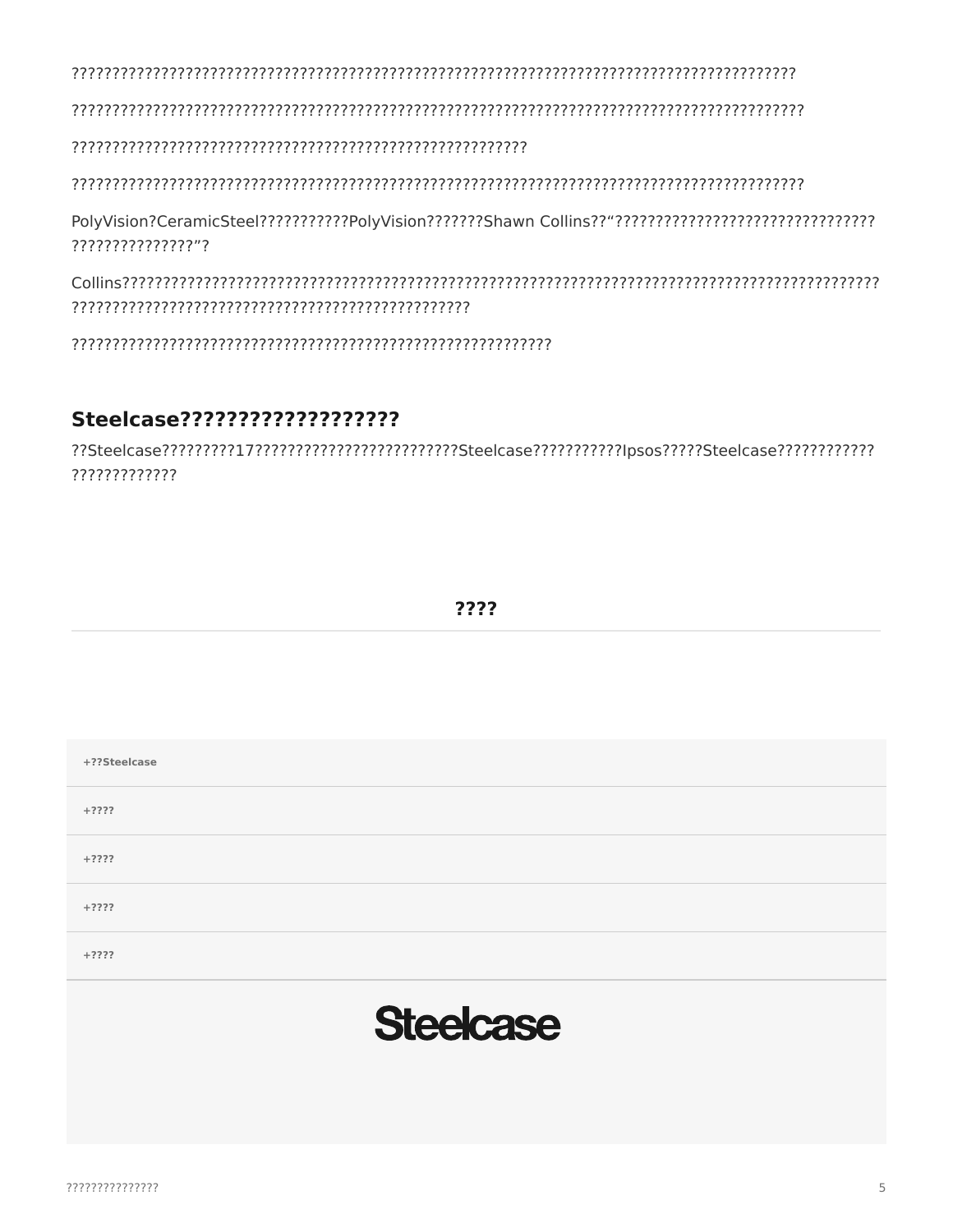PolyVision?CeramicSteel??????????PolyVision???????Shawn Collins??"????????????????????????????????? ??????????????????

### Steelcase???????????????????

??Steelcase????????117?????????????????????Steelcase?????????Ipsos?????Steelcase???????????????????? 7777777777777

???? +??Steelcase  $+2222$  $+2222$  $+2222$  $+2222$ **Steelcase**